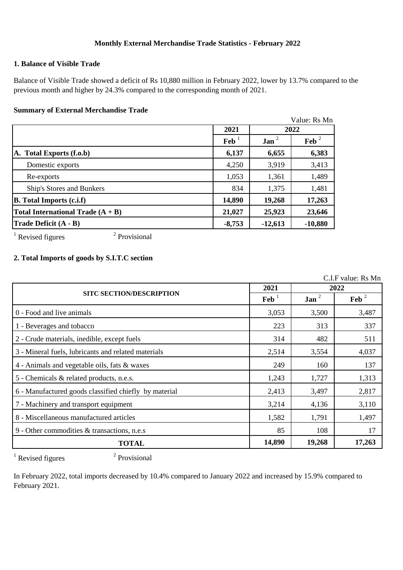# **Monthly External Merchandise Trade Statistics - February 2022**

## **1. Balance of Visible Trade**

Balance of Visible Trade showed a deficit of Rs 10,880 million in February 2022, lower by 13.7% compared to the previous month and higher by 24.3% compared to the corresponding month of 2021.

#### **Summary of External Merchandise Trade**

|                                     |                |           | Value: Rs Mn |  |
|-------------------------------------|----------------|-----------|--------------|--|
|                                     | 2021           | 2022      |              |  |
|                                     | $\mathbf{Feb}$ | $Jan^2$   | Feb $^2$     |  |
| A. Total Exports (f.o.b)            | 6,137          | 6,655     | 6,383        |  |
| Domestic exports                    | 4,250          | 3,919     | 3,413        |  |
| Re-exports                          | 1,053          | 1,361     | 1,489        |  |
| Ship's Stores and Bunkers           | 834            | 1,375     | 1,481        |  |
| <b>B.</b> Total Imports (c.i.f)     | 14,890         | 19,268    | 17,263       |  |
| Total International Trade $(A + B)$ | 21,027         | 25,923    | 23,646       |  |
| <b>Trade Deficit (A - B)</b>        | $-8,753$       | $-12,613$ | $-10,880$    |  |

 $1$  Revised figures

2 Provisional

# **2. Total Imports of goods by S.I.T.C section**

C.I.F value: Rs Mn

|                                                       |                           | 2022             |         |
|-------------------------------------------------------|---------------------------|------------------|---------|
| <b>SITC SECTION/DESCRIPTION</b>                       | $\text{Feb}$ <sup>1</sup> | Jan <sup>2</sup> | Feb $2$ |
| 0 - Food and live animals                             | 3,053                     | 3,500            | 3,487   |
| 1 - Beverages and tobacco                             | 223                       | 313              | 337     |
| 2 - Crude materials, inedible, except fuels           | 314                       | 482              | 511     |
| 3 - Mineral fuels, lubricants and related materials   | 2,514                     | 3,554            | 4,037   |
| 4 - Animals and vegetable oils, fats & waxes          | 249                       | 160              | 137     |
| 5 - Chemicals & related products, n.e.s.              | 1,243                     | 1,727            | 1,313   |
| 6 - Manufactured goods classified chiefly by material | 2,413                     | 3,497            | 2,817   |
| 7 - Machinery and transport equipment                 | 3,214                     | 4,136            | 3,110   |
| 8 - Miscellaneous manufactured articles               | 1,582                     | 1,791            | 1,497   |
| 9 - Other commodities & transactions, n.e.s           | 85                        | 108              | 17      |
| <b>TOTAL</b>                                          | 14,890                    | 19,268           | 17,263  |

 $1$  Revised figures

2 Provisional

In February 2022, total imports decreased by 10.4% compared to January 2022 and increased by 15.9% compared to February 2021.